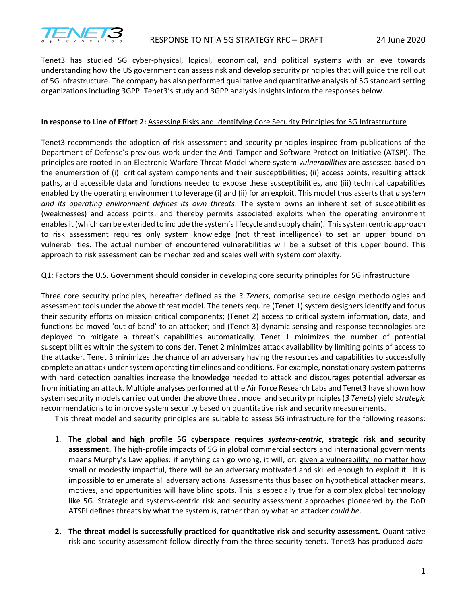

Tenet3 has studied 5G cyber-physical, logical, economical, and political systems with an eye towards understanding how the US government can assess risk and develop security principles that will guide the roll out of 5G infrastructure. The company has also performed qualitative and quantitative analysis of 5G standard setting organizations including 3GPP. Tenet3's study and 3GPP analysis insights inform the responses below.

## **In response to Line of Effort 2:** Assessing Risks and Identifying Core Security Principles for 5G Infrastructure

Tenet3 recommends the adoption of risk assessment and security principles inspired from publications of the Department of Defense's previous work under the Anti-Tamper and Software Protection Initiative (ATSPI). The principles are rooted in an Electronic Warfare Threat Model where system *vulnerabilities* are assessed based on the enumeration of (i) critical system components and their susceptibilities; (ii) access points, resulting attack paths, and accessible data and functions needed to expose these susceptibilities, and (iii) technical capabilities enabled by the operating environment to leverage (i) and (ii) for an exploit. This model thus asserts that *a system and its operating environment defines its own threats*. The system owns an inherent set of susceptibilities (weaknesses) and access points; and thereby permits associated exploits when the operating environment enables it (which can be extended to include the system's lifecycle and supply chain). This system centric approach to risk assessment requires only system knowledge (not threat intelligence) to set an upper bound on vulnerabilities. The actual number of encountered vulnerabilities will be a subset of this upper bound. This approach to risk assessment can be mechanized and scales well with system complexity.

## Q1: Factors the U.S. Government should consider in developing core security principles for 5G infrastructure

Three core security principles, hereafter defined as the *3 Tenets*, comprise secure design methodologies and assessment tools under the above threat model. The tenets require (Tenet 1) system designers identify and focus their security efforts on mission critical components; (Tenet 2) access to critical system information, data, and functions be moved 'out of band' to an attacker; and (Tenet 3) dynamic sensing and response technologies are deployed to mitigate a threat's capabilities automatically. Tenet 1 minimizes the number of potential susceptibilities within the system to consider. Tenet 2 minimizes attack availability by limiting points of access to the attacker. Tenet 3 minimizes the chance of an adversary having the resources and capabilities to successfully complete an attack under system operating timelines and conditions. For example, nonstationary system patterns with hard detection penalties increase the knowledge needed to attack and discourages potential adversaries from initiating an attack. Multiple analyses performed at the Air Force Research Labs and Tenet3 have shown how system security models carried out under the above threat model and security principles (*3 Tenets*) yield *strategic*  recommendations to improve system security based on quantitative risk and security measurements.

This threat model and security principles are suitable to assess 5G infrastructure for the following reasons:

- 1. **The global and high profile 5G cyberspace requires** *systems-centric***, strategic risk and security assessment.** The high-profile impacts of 5G in global commercial sectors and international governments means Murphy's Law applies: if anything can go wrong, it will, or: given a vulnerability, no matter how small or modestly impactful, there will be an adversary motivated and skilled enough to exploit it. It is impossible to enumerate all adversary actions. Assessments thus based on hypothetical attacker means, motives, and opportunities will have blind spots. This is especially true for a complex global technology like 5G. Strategic and systems-centric risk and security assessment approaches pioneered by the DoD ATSPI defines threats by what the system *is*, rather than by what an attacker *could be*.
- **2. The threat model is successfully practiced for quantitative risk and security assessment.** Quantitative risk and security assessment follow directly from the three security tenets. Tenet3 has produced *data-*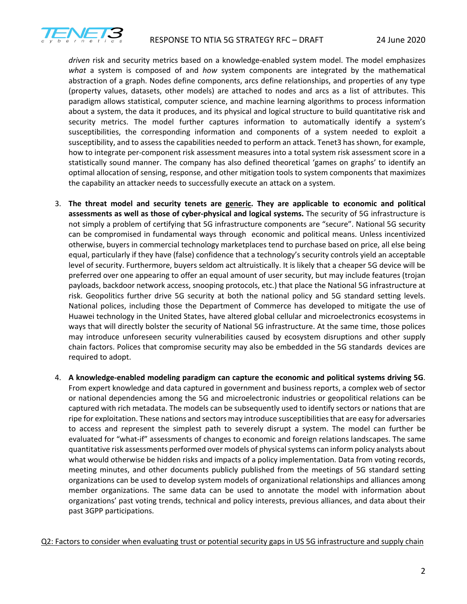

*driven* risk and security metrics based on a knowledge-enabled system model. The model emphasizes *what* a system is composed of and *how* system components are integrated by the mathematical abstraction of a graph. Nodes define components, arcs define relationships, and properties of any type (property values, datasets, other models) are attached to nodes and arcs as a list of attributes. This paradigm allows statistical, computer science, and machine learning algorithms to process information about a system, the data it produces, and its physical and logical structure to build quantitative risk and security metrics. The model further captures information to automatically identify a system's susceptibilities, the corresponding information and components of a system needed to exploit a susceptibility, and to assess the capabilities needed to perform an attack. Tenet3 has shown, for example, how to integrate per-component risk assessment measures into a total system risk assessment score in a statistically sound manner. The company has also defined theoretical 'games on graphs' to identify an optimal allocation of sensing, response, and other mitigation tools to system components that maximizes the capability an attacker needs to successfully execute an attack on a system.

- 3. **The threat model and security tenets are generic. They are applicable to economic and political assessments as well as those of cyber-physical and logical systems.** The security of 5G infrastructure is not simply a problem of certifying that 5G infrastructure components are "secure". National 5G security can be compromised in fundamental ways through economic and political means. Unless incentivized otherwise, buyers in commercial technology marketplaces tend to purchase based on price, all else being equal, particularly if they have (false) confidence that a technology's security controls yield an acceptable level of security. Furthermore, buyers seldom act altruistically. It is likely that a cheaper 5G device will be preferred over one appearing to offer an equal amount of user security, but may include features (trojan payloads, backdoor network access, snooping protocols, etc.) that place the National 5G infrastructure at risk. Geopolitics further drive 5G security at both the national policy and 5G standard setting levels. National polices, including those the Department of Commerce has developed to mitigate the use of Huawei technology in the United States, have altered global cellular and microelectronics ecosystems in ways that will directly bolster the security of National 5G infrastructure. At the same time, those polices may introduce unforeseen security vulnerabilities caused by ecosystem disruptions and other supply chain factors. Polices that compromise security may also be embedded in the 5G standards devices are required to adopt.
- 4. **A knowledge-enabled modeling paradigm can capture the economic and political systems driving 5G**. From expert knowledge and data captured in government and business reports, a complex web of sector or national dependencies among the 5G and microelectronic industries or geopolitical relations can be captured with rich metadata. The models can be subsequently used to identify sectors or nations that are ripe for exploitation. These nations and sectors may introduce susceptibilities that are easy for adversaries to access and represent the simplest path to severely disrupt a system. The model can further be evaluated for "what-if" assessments of changes to economic and foreign relations landscapes. The same quantitative risk assessments performed over models of physical systems can inform policy analysts about what would otherwise be hidden risks and impacts of a policy implementation. Data from voting records, meeting minutes, and other documents publicly published from the meetings of 5G standard setting organizations can be used to develop system models of organizational relationships and alliances among member organizations. The same data can be used to annotate the model with information about organizations' past voting trends, technical and policy interests, previous alliances, and data about their past 3GPP participations.

Q2: Factors to consider when evaluating trust or potential security gaps in US 5G infrastructure and supply chain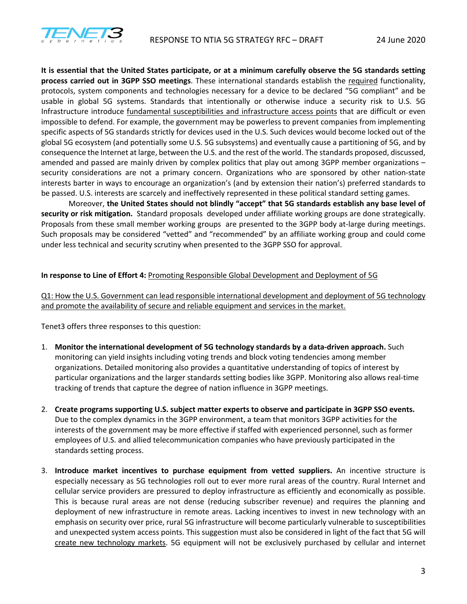

**It is essential that the United States participate, or at a minimum carefully observe the 5G standards setting process carried out in 3GPP SSO meetings**. These international standards establish the required functionality, protocols, system components and technologies necessary for a device to be declared "5G compliant" and be usable in global 5G systems. Standards that intentionally or otherwise induce a security risk to U.S. 5G Infrastructure introduce fundamental susceptibilities and infrastructure access points that are difficult or even impossible to defend. For example, the government may be powerless to prevent companies from implementing specific aspects of 5G standards strictly for devices used in the U.S. Such devices would become locked out of the global 5G ecosystem (and potentially some U.S. 5G subsystems) and eventually cause a partitioning of 5G, and by consequence the Internet at large, between the U.S. and the rest of the world. The standards proposed, discussed, amended and passed are mainly driven by complex politics that play out among 3GPP member organizations – security considerations are not a primary concern. Organizations who are sponsored by other nation-state interests barter in ways to encourage an organization's (and by extension their nation's) preferred standards to be passed. U.S. interests are scarcely and ineffectively represented in these political standard setting games.

Moreover, **the United States should not blindly "accept" that 5G standards establish any base level of security or risk mitigation.** Standard proposals developed under affiliate working groups are done strategically. Proposals from these small member working groups are presented to the 3GPP body at-large during meetings. Such proposals may be considered "vetted" and "recommended" by an affiliate working group and could come under less technical and security scrutiny when presented to the 3GPP SSO for approval.

## **In response to Line of Effort 4:** Promoting Responsible Global Development and Deployment of 5G

Q1: How the U.S. Government can lead responsible international development and deployment of 5G technology and promote the availability of secure and reliable equipment and services in the market.

Tenet3 offers three responses to this question:

- 1. **Monitor the international development of 5G technology standards by a data-driven approach.** Such monitoring can yield insights including voting trends and block voting tendencies among member organizations. Detailed monitoring also provides a quantitative understanding of topics of interest by particular organizations and the larger standards setting bodies like 3GPP. Monitoring also allows real-time tracking of trends that capture the degree of nation influence in 3GPP meetings.
- 2. **Create programs supporting U.S. subject matter experts to observe and participate in 3GPP SSO events.**  Due to the complex dynamics in the 3GPP environment, a team that monitors 3GPP activities for the interests of the government may be more effective if staffed with experienced personnel, such as former employees of U.S. and allied telecommunication companies who have previously participated in the standards setting process.
- 3. **Introduce market incentives to purchase equipment from vetted suppliers.** An incentive structure is especially necessary as 5G technologies roll out to ever more rural areas of the country. Rural Internet and cellular service providers are pressured to deploy infrastructure as efficiently and economically as possible. This is because rural areas are not dense (reducing subscriber revenue) and requires the planning and deployment of new infrastructure in remote areas. Lacking incentives to invest in new technology with an emphasis on security over price, rural 5G infrastructure will become particularly vulnerable to susceptibilities and unexpected system access points. This suggestion must also be considered in light of the fact that 5G will create new technology markets. 5G equipment will not be exclusively purchased by cellular and internet